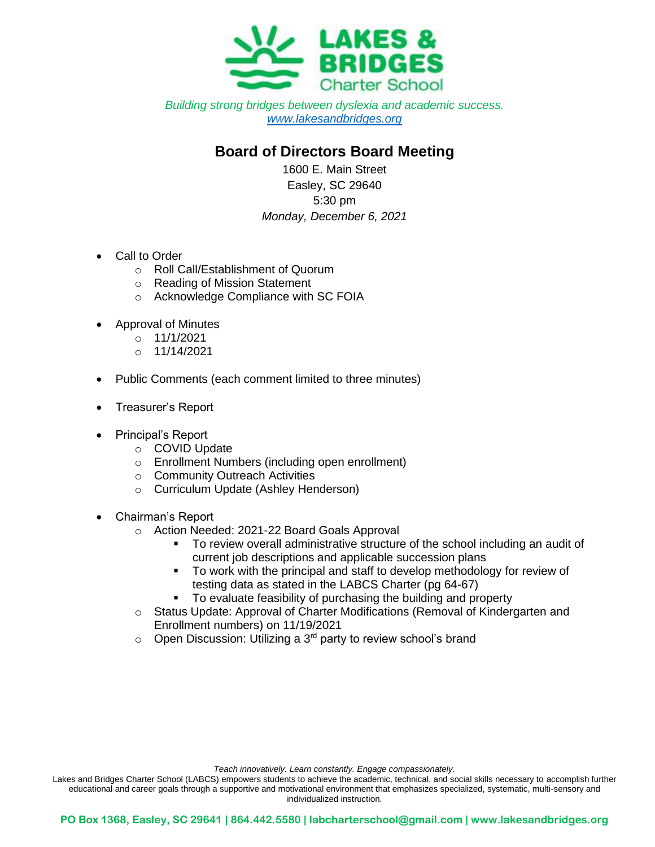

*Building strong bridges between dyslexia and academic success. [www.lakesandbridges.org](http://www.lakesandbridges.org/)*

## **Board of Directors Board Meeting**

1600 E. Main Street Easley, SC 29640 5:30 pm *Monday, December 6, 2021*

- Call to Order
	- o Roll Call/Establishment of Quorum
	- o Reading of Mission Statement
	- o Acknowledge Compliance with SC FOIA
- Approval of Minutes
	- o 11/1/2021
	- $O$  11/14/2021
- Public Comments (each comment limited to three minutes)
- Treasurer's Report
- Principal's Report
	- o COVID Update
	- o Enrollment Numbers (including open enrollment)
	- o Community Outreach Activities
	- o Curriculum Update (Ashley Henderson)
- Chairman's Report
	- o Action Needed: 2021-22 Board Goals Approval
		- To review overall administrative structure of the school including an audit of current job descriptions and applicable succession plans
		- To work with the principal and staff to develop methodology for review of testing data as stated in the LABCS Charter (pg 64-67)
		- To evaluate feasibility of purchasing the building and property
	- o Status Update: Approval of Charter Modifications (Removal of Kindergarten and Enrollment numbers) on 11/19/2021
	- $\circ$  Open Discussion: Utilizing a 3<sup>rd</sup> party to review school's brand

*Teach innovatively. Learn constantly. Engage compassionately*.

Lakes and Bridges Charter School (LABCS) empowers students to achieve the academic, technical, and social skills necessary to accomplish further educational and career goals through a supportive and motivational environment that emphasizes specialized, systematic, multi-sensory and individualized instruction.